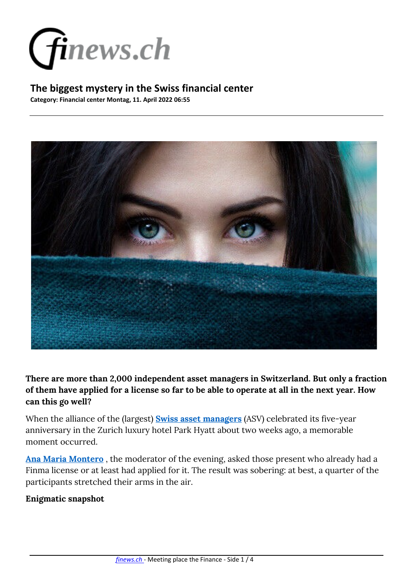

**Category: Financial center Montag, 11. April 2022 06:55**



**There are more than 2,000 independent asset managers in Switzerland. But only a fraction of them have applied for a license so far to be able to operate at all in the next year. How can this go well?**

When the alliance of the (largest) **[Swiss asset managers](https://asv-aswm.ch/)** (ASV) celebrated its five-year anniversary in the Zurich luxury hotel Park Hyatt about two weeks ago, a memorable moment occurred.

**[Ana Maria Montero](https://www.anamariamontero.ch/)** , the moderator of the evening, asked those present who already had a Finma license or at least had applied for it. The result was sobering: at best, a quarter of the participants stretched their arms in the air.

#### **Enigmatic snapshot**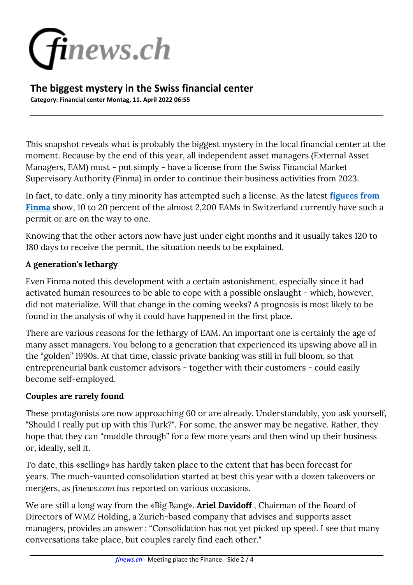

**Category: Financial center Montag, 11. April 2022 06:55**

This snapshot reveals what is probably the biggest mystery in the local financial center at the moment. Because by the end of this year, all independent asset managers (External Asset Managers, EAM) must - put simply - have a license from the Swiss Financial Market Supervisory Authority (Finma) in order to continue their business activities from 2023.

In fact, to date, only a tiny minority has attempted such a license. As the latest **[figures from](https://www.finma.ch/de/finma-public/bewilligte-institute-personen-und-produkte/)  [Finma](https://www.finma.ch/de/finma-public/bewilligte-institute-personen-und-produkte/)** show, 10 to 20 percent of the almost 2,200 EAMs in Switzerland currently have such a permit or are on the way to one.

Knowing that the other actors now have just under eight months and it usually takes 120 to 180 days to receive the permit, the situation needs to be explained.

## **A generation's lethargy**

Even Finma noted this development with a certain astonishment, especially since it had activated human resources to be able to cope with a possible onslaught - which, however, did not materialize. Will that change in the coming weeks? A prognosis is most likely to be found in the analysis of why it could have happened in the first place.

There are various reasons for the lethargy of EAM. An important one is certainly the age of many asset managers. You belong to a generation that experienced its upswing above all in the "golden" 1990s. At that time, classic private banking was still in full bloom, so that entrepreneurial bank customer advisors - together with their customers - could easily become self-employed.

## **Couples are rarely found**

These protagonists are now approaching 60 or are already. Understandably, you ask yourself, "Should I really put up with this Turk?". For some, the answer may be negative. Rather, they hope that they can "muddle through" for a few more years and then wind up their business or, ideally, sell it.

To date, this «selling» has hardly taken place to the extent that has been forecast for years. The much-vaunted consolidation started at best this year with a dozen takeovers or mergers, as *finews.com has* reported on various occasions.

We are still a long way from the «Big Bang». **Ariel Davidoff** , Chairman of the Board of Directors of WMZ Holding, a Zurich-based company that advises and supports asset managers, provides an answer : "Consolidation has not yet picked up speed. I see that many conversations take place, but couples rarely find each other."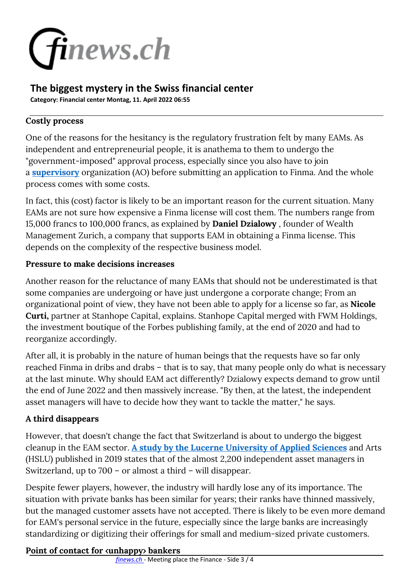

**Category: Financial center Montag, 11. April 2022 06:55**

### **Costly process**

One of the reasons for the hesitancy is the regulatory frustration felt by many EAMs. As independent and entrepreneurial people, it is anathema to them to undergo the "government-imposed" approval process, especially since you also have to join a **[supervisory](https://www.finma.ch/de/bewilligung/aufsichtsorganisationen/)** organization (AO) before submitting an application to Finma. And the whole process comes with some costs.

In fact, this (cost) factor is likely to be an important reason for the current situation. Many EAMs are not sure how expensive a Finma license will cost them. The numbers range from 15,000 francs to 100,000 francs, as explained by **Daniel Dzialowy** , founder of Wealth Management Zurich, a company that supports EAM in obtaining a Finma license. This depends on the complexity of the respective business model.

### **Pressure to make decisions increases**

Another reason for the reluctance of many EAMs that should not be underestimated is that some companies are undergoing or have just undergone a corporate change; From an organizational point of view, they have not been able to apply for a license so far, as **Nicole Curti,** partner at Stanhope Capital, explains. Stanhope Capital merged with FWM Holdings, the investment boutique of the Forbes publishing family, at the end of 2020 and had to reorganize accordingly.

After all, it is probably in the nature of human beings that the requests have so far only reached Finma in dribs and drabs – that is to say, that many people only do what is necessary at the last minute. Why should EAM act differently? Dzialowy expects demand to grow until the end of June 2022 and then massively increase. "By then, at the latest, the independent asset managers will have to decide how they want to tackle the matter," he says.

## **A third disappears**

However, that doesn't change the fact that Switzerland is about to undergo the biggest cleanup in the EAM sector. **[A study by the Lucerne University of Applied Sciences](file://Users/claudebaumann/Downloads/IFZ_VV_Guide_2019_final_komprimiert-1.pdf)** and Arts (HSLU) published in 2019 states that of the almost 2,200 independent asset managers in Switzerland, up to 700 – or almost a third – will disappear.

Despite fewer players, however, the industry will hardly lose any of its importance. The situation with private banks has been similar for years; their ranks have thinned massively, but the managed customer assets have not accepted. There is likely to be even more demand for EAM's personal service in the future, especially since the large banks are increasingly standardizing or digitizing their offerings for small and medium-sized private customers.

## **Point of contact for ‹unhappy› bankers**